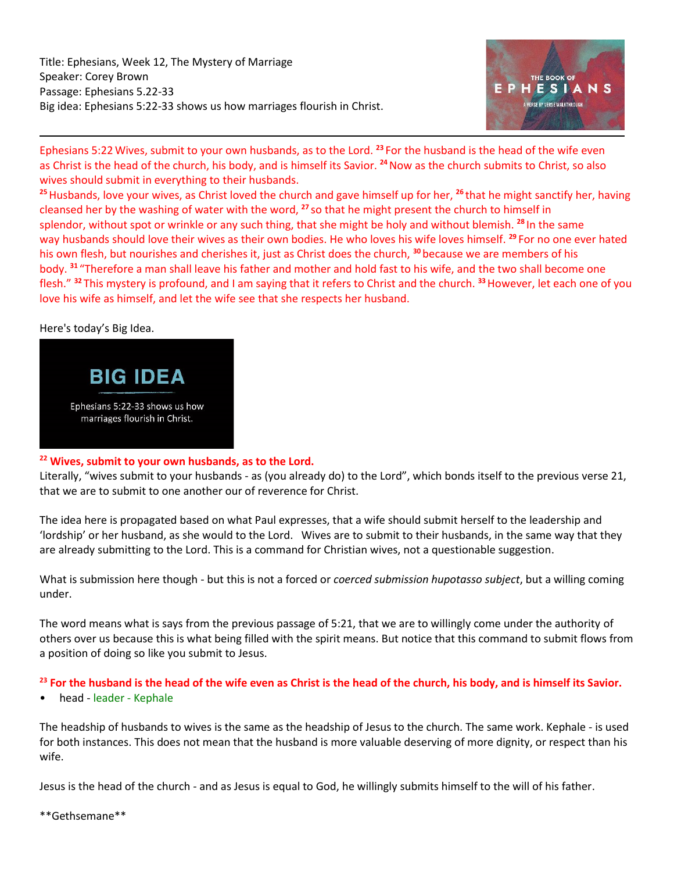Title: Ephesians, Week 12, The Mystery of Marriage Speaker: Corey Brown Passage: Ephesians 5.22-33 Big idea: Ephesians 5:22-33 shows us how marriages flourish in Christ.



Ephesians 5:22Wives, submit to your own husbands, as to the Lord. **<sup>23</sup>** For the husband is the head of the wife even as Christ is the head of the church, his body, and is himself its Savior. **<sup>24</sup>**Now as the church submits to Christ, so also wives should submit in everything to their husbands.

**<sup>25</sup>**Husbands, love your wives, as Christ loved the church and gave himself up for her, **<sup>26</sup>** that he might sanctify her, having cleansed her by the washing of water with the word, **<sup>27</sup>** so that he might present the church to himself in splendor, without spot or wrinkle or any such thing, that she might be holy and without blemish. **<sup>28</sup>** In the same way husbands should love their wives as their own bodies. He who loves his wife loves himself. **<sup>29</sup>** For no one ever hated his own flesh, but nourishes and cherishes it, just as Christ does the church, **<sup>30</sup>** because we are members of his body. **<sup>31</sup>** "Therefore a man shall leave his father and mother and hold fast to his wife, and the two shall become one flesh." **<sup>32</sup>** This mystery is profound, and I am saying that it refers to Christ and the church. **<sup>33</sup>**However, let each one of you love his wife as himself, and let the wife see that she respects her husband.

# Here's today's Big Idea.



# **<sup>22</sup> Wives, submit to your own husbands, as to the Lord.**

Literally, "wives submit to your husbands - as (you already do) to the Lord", which bonds itself to the previous verse 21, that we are to submit to one another our of reverence for Christ.

The idea here is propagated based on what Paul expresses, that a wife should submit herself to the leadership and 'lordship' or her husband, as she would to the Lord. Wives are to submit to their husbands, in the same way that they are already submitting to the Lord. This is a command for Christian wives, not a questionable suggestion.

What is submission here though - but this is not a forced or *coerced submission hupotasso subject*, but a willing coming under.

The word means what is says from the previous passage of 5:21, that we are to willingly come under the authority of others over us because this is what being filled with the spirit means. But notice that this command to submit flows from a position of doing so like you submit to Jesus.

#### **<sup>23</sup> For the husband is the head of the wife even as Christ is the head of the church, his body, and is himself its Savior.**

• head - leader - Kephale

The headship of husbands to wives is the same as the headship of Jesus to the church. The same work. Kephale - is used for both instances. This does not mean that the husband is more valuable deserving of more dignity, or respect than his wife.

Jesus is the head of the church - and as Jesus is equal to God, he willingly submits himself to the will of his father.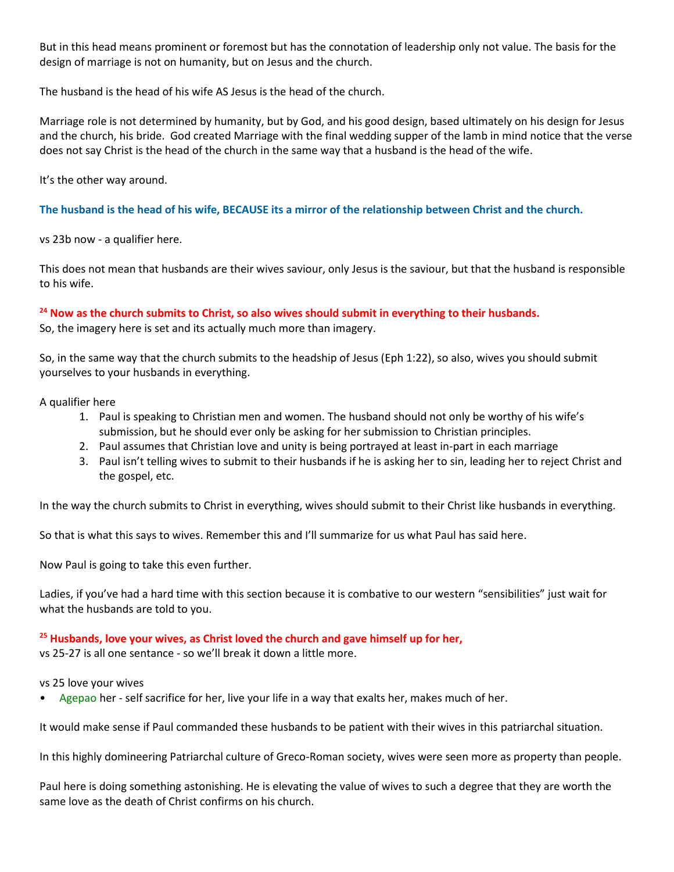But in this head means prominent or foremost but has the connotation of leadership only not value. The basis for the design of marriage is not on humanity, but on Jesus and the church.

The husband is the head of his wife AS Jesus is the head of the church.

Marriage role is not determined by humanity, but by God, and his good design, based ultimately on his design for Jesus and the church, his bride. God created Marriage with the final wedding supper of the lamb in mind notice that the verse does not say Christ is the head of the church in the same way that a husband is the head of the wife.

It's the other way around.

**The husband is the head of his wife, BECAUSE its a mirror of the relationship between Christ and the church.**

vs 23b now - a qualifier here.

This does not mean that husbands are their wives saviour, only Jesus is the saviour, but that the husband is responsible to his wife.

# **<sup>24</sup> Now as the church submits to Christ, so also wives should submit in everything to their husbands.**

So, the imagery here is set and its actually much more than imagery.

So, in the same way that the church submits to the headship of Jesus [\(Eph 1:22\)](https://ref.ly/logosref/BibleESV.Eph1.22), so also, wives you should submit yourselves to your husbands in everything.

#### A qualifier here

- 1. Paul is speaking to Christian men and women. The husband should not only be worthy of his wife's submission, but he should ever only be asking for her submission to Christian principles.
- 2. Paul assumes that Christian love and unity is being portrayed at least in-part in each marriage
- 3. Paul isn't telling wives to submit to their husbands if he is asking her to sin, leading her to reject Christ and the gospel, etc.

In the way the church submits to Christ in everything, wives should submit to their Christ like husbands in everything.

So that is what this says to wives. Remember this and I'll summarize for us what Paul has said here.

Now Paul is going to take this even further.

Ladies, if you've had a hard time with this section because it is combative to our western "sensibilities" just wait for what the husbands are told to you.

# **<sup>25</sup> Husbands, love your wives, as Christ loved the church and gave himself up for her,**

vs 25-27 is all one sentance - so we'll break it down a little more.

#### vs 25 love your wives

• Agepao her - self sacrifice for her, live your life in a way that exalts her, makes much of her.

It would make sense if Paul commanded these husbands to be patient with their wives in this patriarchal situation.

In this highly domineering Patriarchal culture of Greco-Roman society, wives were seen more as property than people.

Paul here is doing something astonishing. He is elevating the value of wives to such a degree that they are worth the same love as the death of Christ confirms on his church.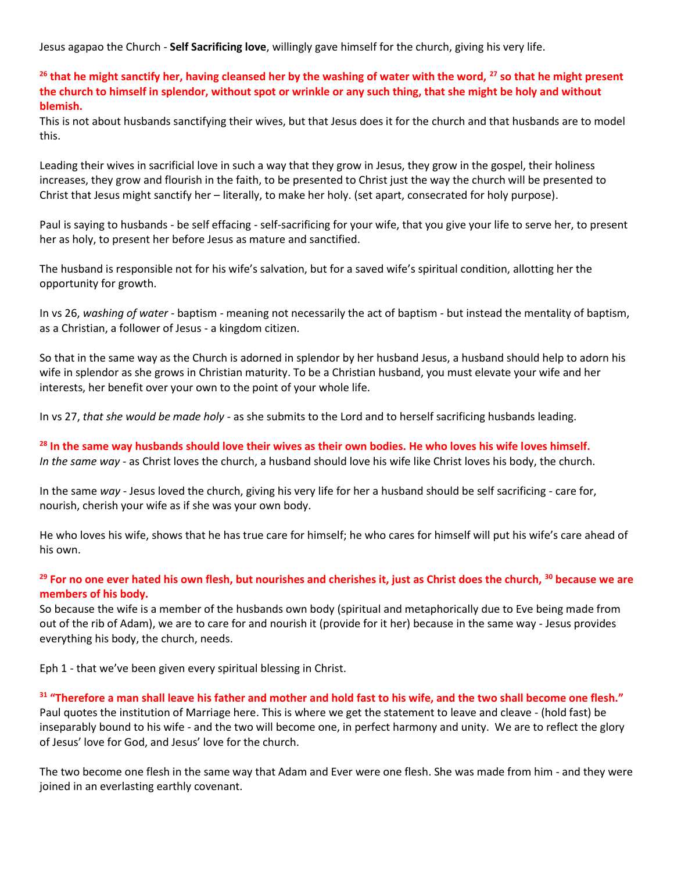Jesus agapao the Church - **Self Sacrificing love**, willingly gave himself for the church, giving his very life.

**<sup>26</sup> that he might sanctify her, having cleansed her by the washing of water with the word, <sup>27</sup> so that he might present the church to himself in splendor, without spot or wrinkle or any such thing, that she might be holy and without blemish.**

This is not about husbands sanctifying their wives, but that Jesus does it for the church and that husbands are to model this.

Leading their wives in sacrificial love in such a way that they grow in Jesus, they grow in the gospel, their holiness increases, they grow and flourish in the faith, to be presented to Christ just the way the church will be presented to Christ that Jesus might sanctify her – literally, to make her holy. (set apart, consecrated for holy purpose).

Paul is saying to husbands - be self effacing - self-sacrificing for your wife, that you give your life to serve her, to present her as holy, to present her before Jesus as mature and sanctified.

The husband is responsible not for his wife's salvation, but for a saved wife's spiritual condition, allotting her the opportunity for growth.

In vs 26, *washing of water* - baptism - meaning not necessarily the act of baptism - but instead the mentality of baptism, as a Christian, a follower of Jesus - a kingdom citizen.

So that in the same way as the Church is adorned in splendor by her husband Jesus, a husband should help to adorn his wife in splendor as she grows in Christian maturity. To be a Christian husband, you must elevate your wife and her interests, her benefit over your own to the point of your whole life.

In vs 27, *that she would be made holy* - as she submits to the Lord and to herself sacrificing husbands leading.

**<sup>28</sup> In the same way husbands should love their wives as their own bodies. He who loves his wife loves himself.** *In the same way* - as Christ loves the church, a husband should love his wife like Christ loves his body, the church.

In the same *way* - Jesus loved the church, giving his very life for her a husband should be self sacrificing - care for, nourish, cherish your wife as if she was your own body.

He who loves his wife, shows that he has true care for himself; he who cares for himself will put his wife's care ahead of his own.

# **<sup>29</sup> For no one ever hated his own flesh, but nourishes and cherishes it, just as Christ does the church, <sup>30</sup> because we are members of his body.**

So because the wife is a member of the husbands own body (spiritual and metaphorically due to Eve being made from out of the rib of Adam), we are to care for and nourish it (provide for it her) because in the same way - Jesus provides everything his body, the church, needs.

[Eph 1](https://ref.ly/logosref/BibleESV.Eph1) - that we've been given every spiritual blessing in Christ.

#### **<sup>31</sup> "Therefore a man shall leave his father and mother and hold fast to his wife, and the two shall become one flesh."**

Paul quotes the institution of Marriage here. This is where we get the statement to leave and cleave - (hold fast) be inseparably bound to his wife - and the two will become one, in perfect harmony and unity. We are to reflect the glory of Jesus' love for God, and Jesus' love for the church.

The two become one flesh in the same way that Adam and Ever were one flesh. She was made from him - and they were joined in an everlasting earthly covenant.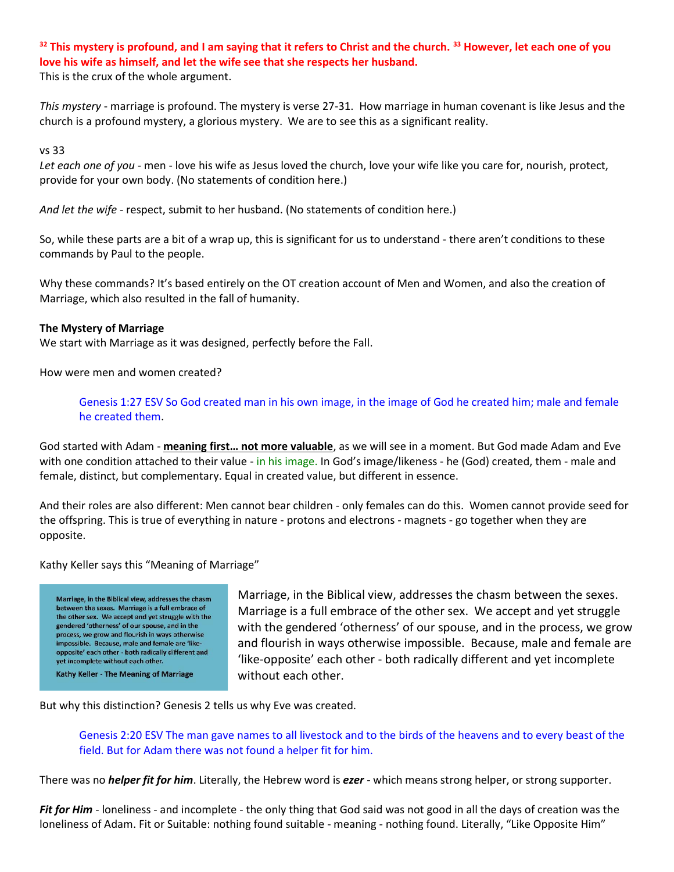# **<sup>32</sup> This mystery is profound, and I am saying that it refers to Christ and the church. <sup>33</sup> However, let each one of you love his wife as himself, and let the wife see that she respects her husband.**

This is the crux of the whole argument.

*This mystery* - marriage is profound. The mystery is verse 27-31. How marriage in human covenant is like Jesus and the church is a profound mystery, a glorious mystery. We are to see this as a significant reality.

vs 33

*Let each one of you* - men - love his wife as Jesus loved the church, love your wife like you care for, nourish, protect, provide for your own body. (No statements of condition here.)

*And let the wife* - respect, submit to her husband. (No statements of condition here.)

So, while these parts are a bit of a wrap up, this is significant for us to understand - there aren't conditions to these commands by Paul to the people.

Why these commands? It's based entirely on the OT creation account of Men and Women, and also the creation of Marriage, which also resulted in the fall of humanity.

#### **The Mystery of Marriage**

We start with Marriage as it was designed, perfectly before the Fall.

How were men and women created?

Genesis 1:27 ESV So God created man in his own image, in the image of God he created him; male and female he created them.

God started with Adam - **meaning first… not more valuable**, as we will see in a moment. But God made Adam and Eve with one condition attached to their value - in his image. In God's image/likeness - he (God) created, them - male and female, distinct, but complementary. Equal in created value, but different in essence.

And their roles are also different: Men cannot bear children - only females can do this. Women cannot provide seed for the offspring. This is true of everything in nature - protons and electrons - magnets - go together when they are opposite.

Kathy Keller says this "Meaning of Marriage"

Marriage, in the Biblical view, addresses the chasm between the sexes. Marriage is a full embrace of the other sex. We accept and yet struggle with the gendered 'otherness' of our spouse, and in the process, we grow and flourish in ways otherwise impossible. Because, male and female are 'likeopposite' each other - both radically different and vet incomplete without each other. Kathy Keller - The Meaning of Marriage

Marriage, in the Biblical view, addresses the chasm between the sexes. Marriage is a full embrace of the other sex. We accept and yet struggle with the gendered 'otherness' of our spouse, and in the process, we grow and flourish in ways otherwise impossible. Because, male and female are 'like-opposite' each other - both radically different and yet incomplete without each other.

But why this distinction? Genesis 2 tells us why Eve was created.

Genesis 2:20 ESV The man gave names to all livestock and to the birds of the heavens and to every beast of the field. But for Adam there was not found a helper fit for him.

There was no *helper fit for him*. Literally, the Hebrew word is *ezer* - which means strong helper, or strong supporter.

*Fit for Him* - loneliness - and incomplete - the only thing that God said was not good in all the days of creation was the loneliness of Adam. Fit or Suitable: nothing found suitable - meaning - nothing found. Literally, "Like Opposite Him"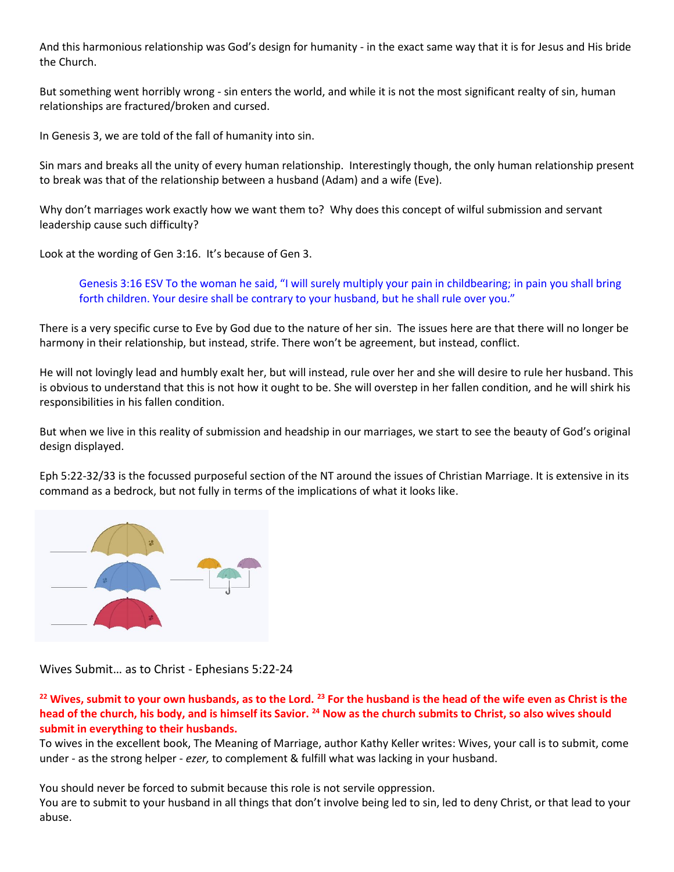And this harmonious relationship was God's design for humanity - in the exact same way that it is for Jesus and His bride the Church.

But something went horribly wrong - sin enters the world, and while it is not the most significant realty of sin, human relationships are fractured/broken and cursed.

In [Genesis 3,](https://ref.ly/logosref/BibleESV.Ge3) we are told of the fall of humanity into sin.

Sin mars and breaks all the unity of every human relationship. Interestingly though, the only human relationship present to break was that of the relationship between a husband (Adam) and a wife (Eve).

Why don't marriages work exactly how we want them to? Why does this concept of wilful submission and servant leadership cause such difficulty?

Look at the wording o[f Gen 3:16.](https://ref.ly/logosref/BibleESV.Ge3.16) It's because o[f Gen 3.](https://ref.ly/logosref/BibleESV.Ge3)

Genesis 3:16 ESV To the woman he said, "I will surely multiply your pain in childbearing; in pain you shall bring forth children. Your desire shall be contrary to your husband, but he shall rule over you."

There is a very specific curse to Eve by God due to the nature of her sin. The issues here are that there will no longer be harmony in their relationship, but instead, strife. There won't be agreement, but instead, conflict.

He will not lovingly lead and humbly exalt her, but will instead, rule over her and she will desire to rule her husband. This is obvious to understand that this is not how it ought to be. She will overstep in her fallen condition, and he will shirk his responsibilities in his fallen condition.

But when we live in this reality of submission and headship in our marriages, we start to see the beauty of God's original design displayed.

[Eph 5:22-32/](https://ref.ly/logosref/BibleESV.Eph5.22-32)33 is the focussed purposeful section of the NT around the issues of Christian Marriage. It is extensive in its command as a bedrock, but not fully in terms of the implications of what it looks like.



Wives Submit… as to Christ - [Ephesians](https://ref.ly/logosref/BibleESV.Eph5.22-24) 5:22-24

**<sup>22</sup> Wives, submit to your own husbands, as to the Lord. <sup>23</sup> For the husband is the head of the wife even as Christ is the head of the church, his body, and is himself its Savior. <sup>24</sup> Now as the church submits to Christ, so also wives should submit in everything to their husbands.**

To wives in the excellent book, The Meaning of Marriage, author Kathy Keller writes: Wives, your call is to submit, come under - as the strong helper - *ezer,* to complement & fulfill what was lacking in your husband.

You should never be forced to submit because this role is not servile oppression.

You are to submit to your husband in all things that don't involve being led to sin, led to deny Christ, or that lead to your abuse.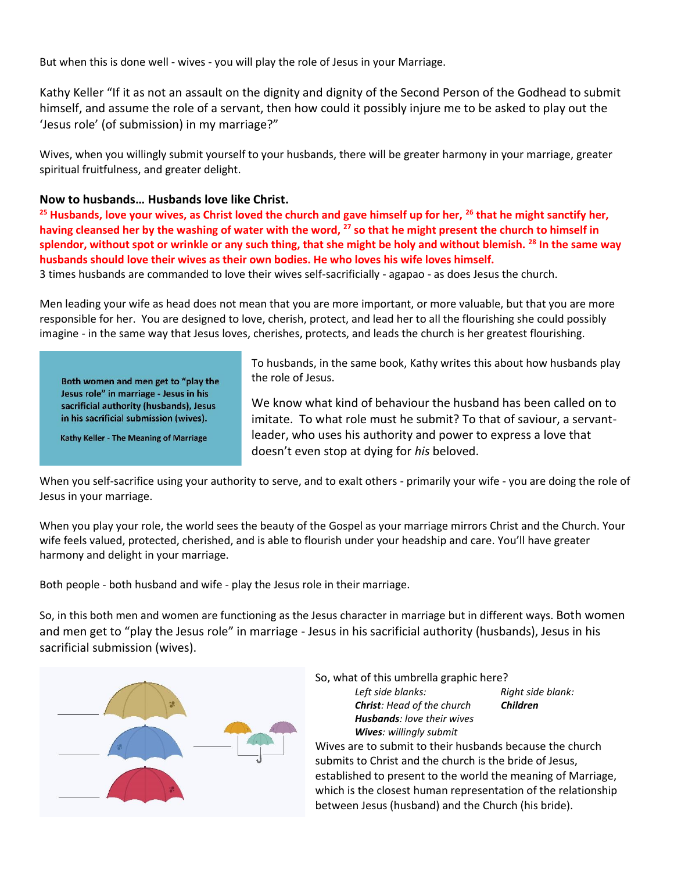But when this is done well - wives - you will play the role of Jesus in your Marriage.

Kathy Keller "If it as not an assault on the dignity and dignity of the Second Person of the Godhead to submit himself, and assume the role of a servant, then how could it possibly injure me to be asked to play out the 'Jesus role' (of submission) in my marriage?"

Wives, when you willingly submit yourself to your husbands, there will be greater harmony in your marriage, greater spiritual fruitfulness, and greater delight.

# **Now to husbands… Husbands love like Christ.**

**<sup>25</sup> Husbands, love your wives, as Christ loved the church and gave himself up for her, <sup>26</sup> that he might sanctify her, having cleansed her by the washing of water with the word, <sup>27</sup> so that he might present the church to himself in splendor, without spot or wrinkle or any such thing, that she might be holy and without blemish. <sup>28</sup> In the same way husbands should love their wives as their own bodies. He who loves his wife loves himself.**

3 times husbands are commanded to love their wives self-sacrificially - agapao - as does Jesus the church.

Men leading your wife as head does not mean that you are more important, or more valuable, but that you are more responsible for her. You are designed to love, cherish, protect, and lead her to all the flourishing she could possibly imagine - in the same way that Jesus loves, cherishes, protects, and leads the church is her greatest flourishing.

Both women and men get to "play the Jesus role" in marriage - Jesus in his sacrificial authority (husbands), Jesus in his sacrificial submission (wives).

Kathy Keller - The Meaning of Marriage

To husbands, in the same book, Kathy writes this about how husbands play the role of Jesus.

We know what kind of behaviour the husband has been called on to imitate. To what role must he submit? To that of saviour, a servantleader, who uses his authority and power to express a love that doesn't even stop at dying for *his* beloved.

When you self-sacrifice using your authority to serve, and to exalt others - primarily your wife - you are doing the role of Jesus in your marriage.

When you play your role, the world sees the beauty of the Gospel as your marriage mirrors Christ and the Church. Your wife feels valued, protected, cherished, and is able to flourish under your headship and care. You'll have greater harmony and delight in your marriage.

Both people - both husband and wife - play the Jesus role in their marriage.

So, in this both men and women are functioning as the Jesus character in marriage but in different ways. Both women and men get to "play the Jesus role" in marriage - Jesus in his sacrificial authority (husbands), Jesus in his sacrificial submission (wives).



So, what of this umbrella graphic here?

*Left side blanks: Right side blank: Christ: Head of the church Children Husbands: love their wives Wives: willingly submit*

Wives are to submit to their husbands because the church submits to Christ and the church is the bride of Jesus, established to present to the world the meaning of Marriage, which is the closest human representation of the relationship between Jesus (husband) and the Church (his bride).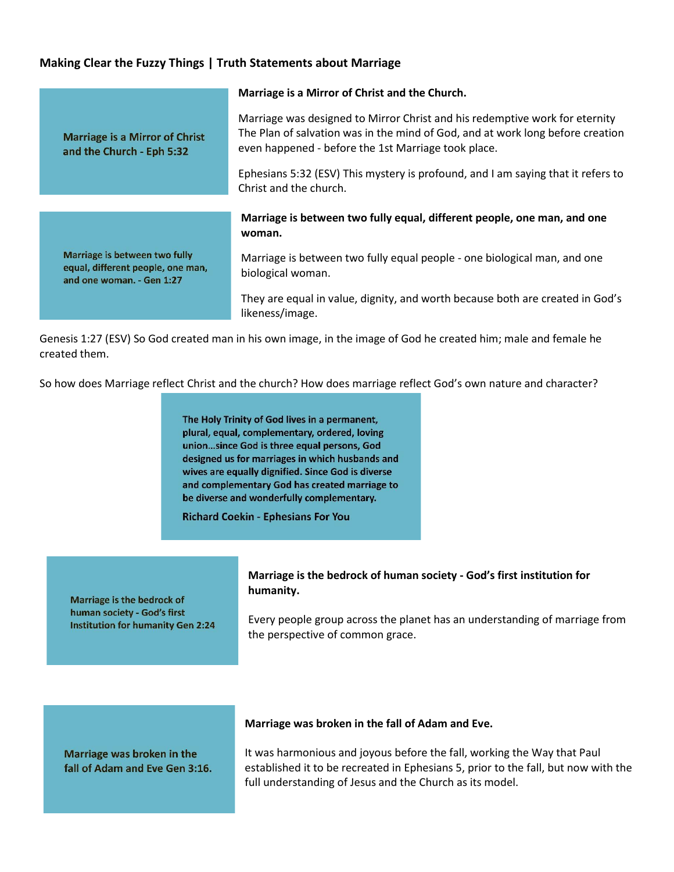# **Making Clear the Fuzzy Things | Truth Statements about Marriage**

|                                                                                                 | Marriage is a Mirror of Christ and the Church.                                                                                                                                                                       |
|-------------------------------------------------------------------------------------------------|----------------------------------------------------------------------------------------------------------------------------------------------------------------------------------------------------------------------|
| <b>Marriage is a Mirror of Christ</b><br>and the Church - Eph 5:32                              | Marriage was designed to Mirror Christ and his redemptive work for eternity<br>The Plan of salvation was in the mind of God, and at work long before creation<br>even happened - before the 1st Marriage took place. |
|                                                                                                 | Ephesians 5:32 (ESV) This mystery is profound, and I am saying that it refers to<br>Christ and the church.                                                                                                           |
|                                                                                                 |                                                                                                                                                                                                                      |
|                                                                                                 |                                                                                                                                                                                                                      |
|                                                                                                 | Marriage is between two fully equal, different people, one man, and one<br>woman.                                                                                                                                    |
| Marriage is between two fully<br>equal, different people, one man,<br>and one woman. - Gen 1:27 | Marriage is between two fully equal people - one biological man, and one<br>biological woman.                                                                                                                        |

Genesis 1:27 (ESV) So God created man in his own image, in the image of God he created him; male and female he created them.

So how does Marriage reflect Christ and the church? How does marriage reflect God's own nature and character?

The Holy Trinity of God lives in a permanent, plural, equal, complementary, ordered, loving union...since God is three equal persons, God designed us for marriages in which husbands and wives are equally dignified. Since God is diverse and complementary God has created marriage to be diverse and wonderfully complementary.

**Richard Coekin - Ephesians For You** 

Marriage is the bedrock of human society - God's first **Institution for humanity Gen 2:24** 

# **Marriage is the bedrock of human society - God's first institution for humanity.**

Every people group across the planet has an understanding of marriage from the perspective of common grace.

Marriage was broken in the fall of Adam and Eve Gen 3:16.

#### **Marriage was broken in the fall of Adam and Eve.**

It was harmonious and joyous before the fall, working the Way that Paul established it to be recreated in Ephesians 5, prior to the fall, but now with the full understanding of Jesus and the Church as its model.